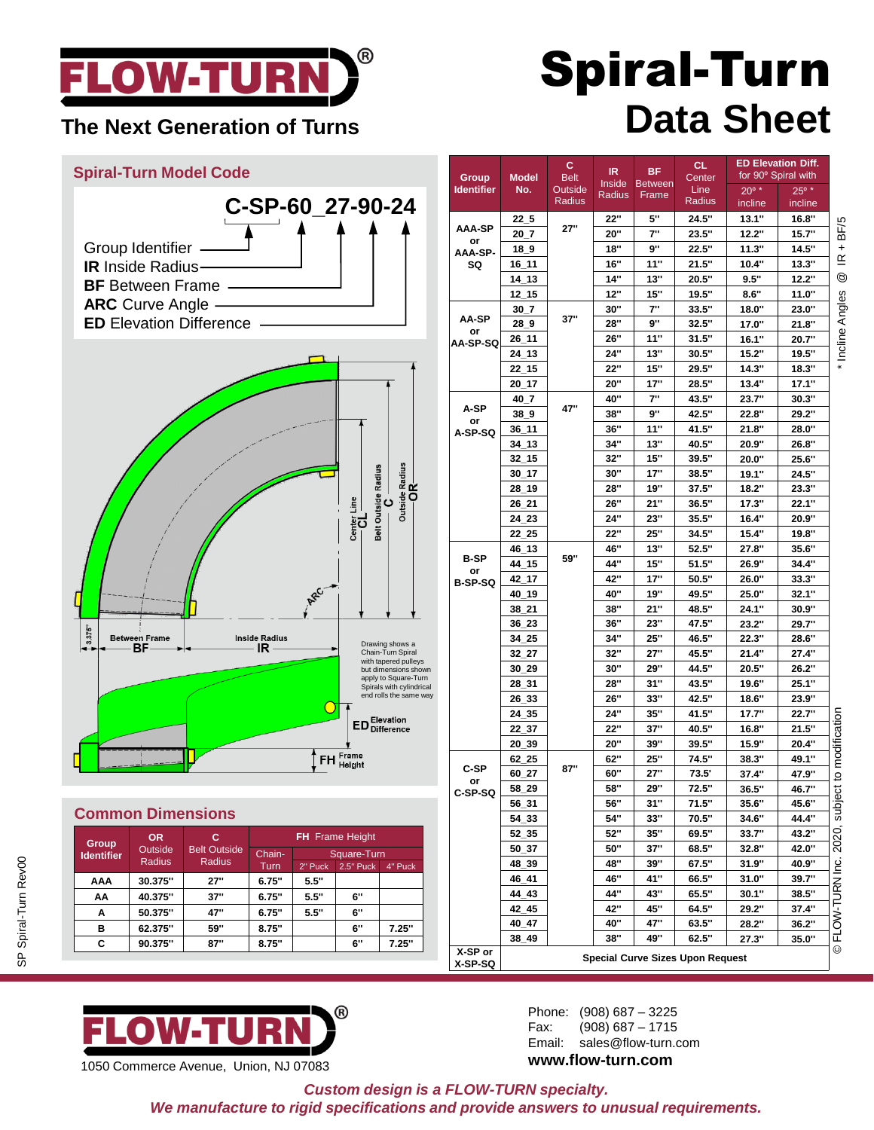

#### **The Next Generation of Turns**

## Spiral-Turn **Data Sheet**

### **Spiral-Turn Model Code C-SP-60\_27-90-24** Group Identifier **IR** Inside Radius **BF** Between Frame **ARC** Curve Angle **ED** Elevation Difference Center Line<br>-- CL 3.375" Between Frame<br>
BF Drawing shows a Chain-Turn Spiral with tapered pulleys but dimensions shown apply to Square-Turn Spirals with cylindrical end rolls the same way **ED** Elevation FH Frame ℾ

#### **Common Dimensions**

| Group<br><b>Identifier</b> | OR.<br>Outside<br>Radius | с<br><b>Belt Outside</b><br><b>Radius</b> | <b>FH</b> Frame Height |             |                  |         |  |
|----------------------------|--------------------------|-------------------------------------------|------------------------|-------------|------------------|---------|--|
|                            |                          |                                           | Chain-                 | Square-Turn |                  |         |  |
|                            |                          |                                           | Turn                   | 2" Puck     | <b>2.5" Puck</b> | 4" Puck |  |
| AAA                        | 30.375"                  | 27"                                       | 6.75"                  | 5.5"        |                  |         |  |
| AA                         | 40.375"                  | 37"                                       | 6.75"                  | 5.5"        | 6"               |         |  |
| Α                          | 50.375"                  | 47"                                       | 6.75"                  | 5.5"        | 6"               |         |  |
| в                          | 62.375"                  | 59"                                       | 8.75"                  |             | 6"               | 7.25"   |  |
| C                          | 90.375"                  | 87"                                       | 8.75"                  |             | 6"               | 7.25"   |  |
|                            |                          |                                           |                        |             |                  |         |  |

|                               |                                  | c                      | IR.           | <b>BF</b>         | <b>CL</b>      | <b>ED Elevation Diff.</b><br>for 90° Spiral with |                           |                                                     |  |  |
|-------------------------------|----------------------------------|------------------------|---------------|-------------------|----------------|--------------------------------------------------|---------------------------|-----------------------------------------------------|--|--|
| Group<br><b>Identifier</b>    | <b>Model</b><br>No.              | <b>Belt</b><br>Outside | <b>Inside</b> | <b>Between</b>    | Center<br>Line |                                                  |                           |                                                     |  |  |
|                               |                                  | Radius                 | Radius        | Frame             | Radius         | $20^{\circ}$ *<br>incline                        | $25^{\circ}$ *<br>incline |                                                     |  |  |
|                               | 225                              |                        | 22"           | 5"                | 24.5"          | 13.1"                                            | 16.8"                     |                                                     |  |  |
| AAA-SP<br>or<br>AAA-SP-<br>SQ | 20 7                             | 27"                    | 20"           | 7"                | 23.5"          | 12.2"                                            | 15.7"                     | BF/5                                                |  |  |
|                               | 189                              |                        | 18"           | 9"                | 22.5"          | 11.3"                                            | 14.5"                     | $\ddot{}$<br>$\underline{\alpha}$<br>$^{\circledR}$ |  |  |
|                               | $16_11$                          |                        | 16"           | 11"               | 21.5"          | 10.4"                                            | 13.3"                     |                                                     |  |  |
|                               | 14 13                            |                        | 14"           | 13"               | 20.5"          | 9.5"                                             | 12.2"                     |                                                     |  |  |
|                               | 12 15                            |                        | 12"           | 15"               | 19.5"          | 8.6"                                             | 11.0"                     |                                                     |  |  |
| AA-SP<br>or                   | 30 7                             | 37"                    | 30"           | 7"                | 33.5"          | 18.0"                                            | 23.0"                     | Incline Angles                                      |  |  |
|                               | 289                              |                        | 28"           | 9"                | 32.5"          | 17.0"                                            | 21.8"                     |                                                     |  |  |
|                               | 26 11                            |                        | 26"           | 11"               | 31.5"          | 16.1"                                            | 20.7"                     |                                                     |  |  |
| AA-SP-SQ                      | 24 13                            |                        | 24"           | 13"               | 30.5"          | 15.2"                                            | 19.5"                     |                                                     |  |  |
|                               | 22 15                            |                        | 22"           | 15"               | 29.5"          | 14.3"                                            | 18.3"                     |                                                     |  |  |
|                               | 20 17                            |                        | 20"           | 17"               | 28.5"          | 13.4"                                            | 17.1"                     |                                                     |  |  |
|                               | 40 7                             |                        | 40"           | 7"                | 43.5"          | 23.7"                                            | 30.3"                     |                                                     |  |  |
| A-SP                          | 38 9                             | 47"                    | 38"           | 9"                | 42.5"          | 22.8"                                            | 29.2"                     |                                                     |  |  |
| or                            |                                  |                        | 36"           | 11"               | 41.5"          | 21.8"                                            | 28.0"                     |                                                     |  |  |
| A-SP-SQ                       | $36_111$                         |                        |               |                   |                |                                                  |                           |                                                     |  |  |
|                               | $34 - 13$                        |                        | 34"           | 13"               | 40.5"          | 20.9"                                            | 26.8"                     |                                                     |  |  |
|                               | 32 15                            |                        | 32"           | 15"               | 39.5"          | 20.0"                                            | 25.6"                     |                                                     |  |  |
|                               | 30 17                            |                        | 30"           | 17"               | 38.5"          | 19.1"                                            | 24.5"                     |                                                     |  |  |
|                               | 28 19                            |                        | 28"           | 19"               | 37.5"          | 18.2"                                            | 23.3"                     |                                                     |  |  |
|                               | 26 21                            |                        | 26"           | 21"               | 36.5"          | 17.3"                                            | 22.1"                     |                                                     |  |  |
|                               | 24 23                            |                        | 24"           | 23"               | 35.5"          | 16.4"                                            | 20.9"                     |                                                     |  |  |
|                               | 22 25                            |                        | 22"           | 25"               | 34.5"          | 15.4"                                            | 19.8"                     |                                                     |  |  |
| <b>B-SP</b>                   | 46 13                            | 59"                    | 46"           | 13"               | 52.5"          | 27.8"                                            | 35.6"                     |                                                     |  |  |
| or                            | 44_15                            |                        | 44"           | 15"               | 51.5"          | 26.9"                                            | 34.4"                     |                                                     |  |  |
| <b>B-SP-SQ</b>                | 42 17                            |                        | 42"           | 17"               | 50.5"          | 26.0"                                            | 33.3"                     |                                                     |  |  |
|                               | 40_19                            |                        | 40"           | 19"               | 49.5"          | 25.0"                                            | 32.1"                     |                                                     |  |  |
|                               | 38 21                            |                        | 38"           | 21"               | 48.5"          | 24.1"                                            | 30.9"                     |                                                     |  |  |
|                               | 36_23                            |                        | 36"           | 23"               | 47.5"          | 23.2"                                            | 29.7"                     |                                                     |  |  |
|                               | 34 25                            |                        | 34"           | 25"               | 46.5"          | 22.3"                                            | 28.6"                     |                                                     |  |  |
|                               | 32 27                            |                        | 32"           | 27"               | 45.5"          | 21.4"                                            | 27.4"                     | ect to modification                                 |  |  |
|                               | 30 29                            |                        | 30"           | 29"               | 44.5"          | 20.5"                                            | 26.2"                     |                                                     |  |  |
|                               | 28_31                            |                        | 28"           | 31"               | 43.5"          | 19.6"                                            | 25.1"                     |                                                     |  |  |
|                               | 26_33                            |                        | 26"           | 33"               | 42.5"          | 18.6"                                            | 23.9"<br>22.7"            |                                                     |  |  |
|                               | 24_35                            |                        | 24"           | 35"               | 41.5"          | 17.7"                                            |                           |                                                     |  |  |
|                               | 22 37                            |                        | 22"<br>20"    | 37"<br>39"        | 40.5"          | 16.8"<br>15.9"                                   | 21.5"<br>20.4"            |                                                     |  |  |
|                               | 20_39<br>62 25                   |                        | 62"           | 25"               | 39.5"<br>74.5" |                                                  |                           |                                                     |  |  |
| C-SP                          |                                  | 87"                    | 60"           | 27"               |                | 38.3"                                            | 49.1"<br>47.9"            |                                                     |  |  |
| or                            | 60 27                            |                        |               |                   | 73.5'          | 37.4"                                            |                           | jaus                                                |  |  |
| C-SP-SQ                       | 58_29                            |                        | 58"<br>56"    | 29"<br>31"        | 72.5"          | 36.5"                                            | 46.7"                     |                                                     |  |  |
|                               | $56 - 31$                        |                        |               |                   | 71.5"          | 35.6"                                            | 45.6"<br>44.4"            |                                                     |  |  |
|                               | 54_33                            |                        | 54"<br>52"    | 33"<br>35"        | 70.5"          | 34.6"<br>33.7"                                   | 43.2"                     |                                                     |  |  |
|                               | 52_35                            |                        |               |                   | 69.5"          |                                                  |                           | 2020,                                               |  |  |
|                               | 50 37                            |                        | 50"<br>48"    | 37"<br><b>39"</b> | 68.5"<br>67.5" | 32.8"<br>31.9"                                   | 42.0"<br>40.9"            |                                                     |  |  |
|                               | 48_39                            |                        | 46"           | 41"               |                |                                                  |                           |                                                     |  |  |
|                               | 46_41                            |                        | 44"           | 43"               | 66.5"<br>65.5" | 31.0"<br>30.1"                                   | 39.7"<br>38.5"            |                                                     |  |  |
|                               | 44_43<br>42 45                   |                        | 42"           | 45"               |                | 29.2"                                            |                           |                                                     |  |  |
|                               |                                  |                        |               |                   | 64.5"          |                                                  | 37.4"                     |                                                     |  |  |
|                               | 40_47                            |                        | 40"           | 47"               | 63.5"          | 28.2"<br>27.3"                                   | 36.2"                     | FLOW-TURN Inc.                                      |  |  |
| X-SP or                       | 38_49                            |                        | 38"           | 49"               | 62.5"          |                                                  | 35.0"                     | $\odot$                                             |  |  |
| X-SP-SQ                       | Special Curve Sizes Upon Request |                        |               |                   |                |                                                  |                           |                                                     |  |  |



Phone: (908) 687 – 3225 Fax: (908) 687 – 1715 Email: sales@flow-turn.com **www.flow-turn.com**

*Custom design is a FLOW-TURN specialty. We manufacture to rigid specifications and provide answers to unusual requirements.*